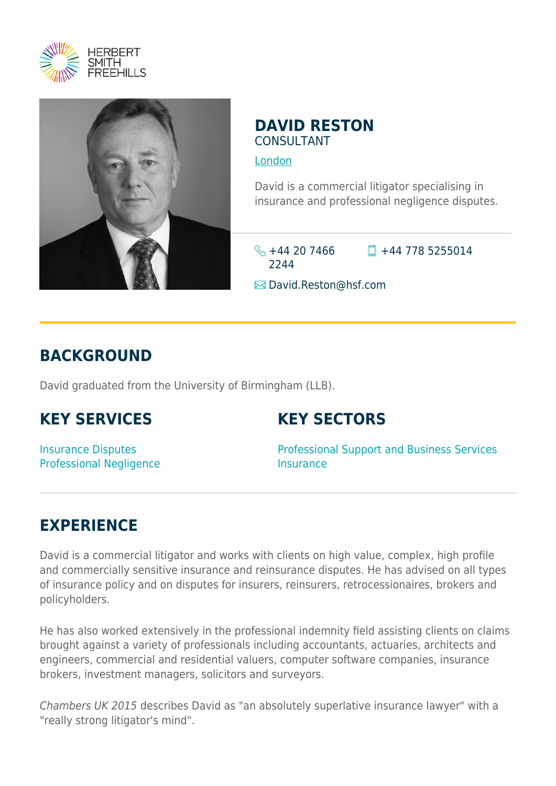



#### **DAVID RESTON** CONSULTANT

[London](https://www.herbertsmithfreehills.com/lang-zh-hans/where-we-work/london)

David is a commercial litigator specialising in insurance and professional negligence disputes.

 $\frac{1}{2}$  +44 20 7466 2244

 $\Box$  +44 778 5255014

**E** David.Reston@hsf.com

## **BACKGROUND**

David graduated from the University of Birmingham (LLB).

## **KEY SERVICES**

## **KEY SECTORS**

Insurance Disputes Professional Negligence Professional Support and Business Services **Insurance** 

# **EXPERIENCE**

David is a commercial litigator and works with clients on high value, complex, high profile and commercially sensitive insurance and reinsurance disputes. He has advised on all types of insurance policy and on disputes for insurers, reinsurers, retrocessionaires, brokers and policyholders.

He has also worked extensively in the professional indemnity field assisting clients on claims brought against a variety of professionals including accountants, actuaries, architects and engineers, commercial and residential valuers, computer software companies, insurance brokers, investment managers, solicitors and surveyors.

Chambers UK 2015 describes David as "an absolutely superlative insurance lawyer" with a "really strong litigator's mind".